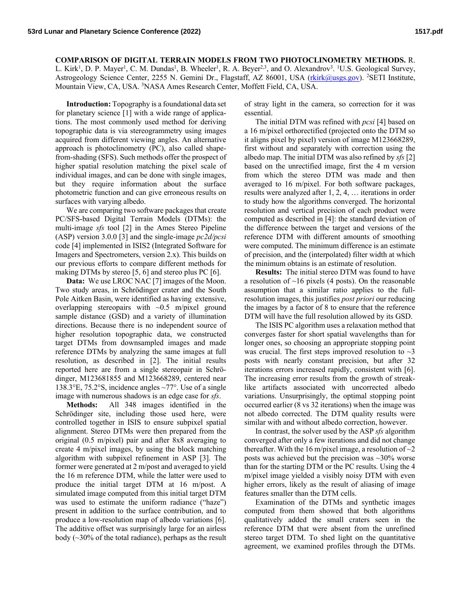## **COMPARISON OF DIGITAL TERRAIN MODELS FROM TWO PHOTOCLINOMETRY METHODS. R.**

L. Kirk<sup>1</sup>, D. P. Mayer<sup>1</sup>, C. M. Dundas<sup>1</sup>, B. Wheeler<sup>1</sup>, R. A. Beyer<sup>2,3</sup>, and O. Alexandrov<sup>3</sup>. <sup>1</sup>U.S. Geological Survey, Astrogeology Science Center, 2255 N. Gemini Dr., Flagstaff, AZ 86001, USA (rkirk@usgs.gov). <sup>2</sup>SETI Institute, Mountain View, CA, USA. <sup>3</sup>NASA Ames Research Center, Moffett Field, CA, USA.

**Introduction:** Topography is a foundational data set for planetary science [1] with a wide range of applications. The most commonly used method for deriving topographic data is via stereogrammetry using images acquired from different viewing angles. An alternative approach is photoclinometry (PC), also called shapefrom-shading (SFS). Such methods offer the prospect of higher spatial resolution matching the pixel scale of individual images, and can be done with single images, but they require information about the surface photometric function and can give erroneous results on surfaces with varying albedo.

We are comparing two software packages that create PC/SFS-based Digital Terrain Models (DTMs): the multi-image sfs tool [2] in the Ames Stereo Pipeline (ASP) version 3.0.0 [3] and the single-image  $pc2d/pcsi$ code [4] implemented in ISIS2 (Integrated Software for Imagers and Spectrometers, version 2.x). This builds on our previous efforts to compare different methods for making DTMs by stereo [5, 6] and stereo plus PC [6].

Data: We use LROC NAC [7] images of the Moon. Two study areas, in Schrödinger crater and the South Pole Aitken Basin, were identified as having extensive, overlapping stereopairs with  $\sim 0.5$  m/pixel ground sample distance (GSD) and a variety of illumination directions. Because there is no independent source of higher resolution topographic data, we constructed target DTMs from downsampled images and made reference DTMs by analyzing the same images at full resolution, as described in [2]. The initial results reported here are from a single stereopair in Schrödinger, M123681855 and M123668289, centered near 138.3°E, 75.2°S, incidence angles  $\sim$ 77°. Use of a single image with numerous shadows is an edge case for *sfs*.

**Methods:** All 348 images identified in the Schrödinger site, including those used here, were controlled together in ISIS to ensure subpixel spatial alignment. Stereo DTMs were then prepared from the original  $(0.5 \text{ m/pixel})$  pair and after 8x8 averaging to create 4 m/pixel images, by using the block matching algorithm with subpixel refinement in ASP [3]. The former were generated at 2 m/post and averaged to yield the 16 m reference DTM, while the latter were used to produce the initial target DTM at 16 m/post. A simulated image computed from this initial target DTM was used to estimate the uniform radiance ("haze") present in addition to the surface contribution, and to produce a low-resolution map of albedo variations [6]. The additive offset was surprisingly large for an airless body  $(\sim]30\%$  of the total radiance), perhaps as the result

of stray light in the camera, so correction for it was essential.

The initial DTM was refined with *pcsi* [4] based on a 16 m/pixel orthorectified (projected onto the DTM so it aligns pixel by pixel) version of image M123668289, first without and separately with correction using the albedo map. The initial DTM was also refined by sfs [2] based on the unrectified image, first the 4 m version from which the stereo DTM was made and then averaged to 16 m/pixel. For both software packages, results were analyzed after  $1, 2, 4, \ldots$  iterations in order to study how the algorithms converged. The horizontal resolution and vertical precision of each product were computed as described in [4]: the standard deviation of the difference between the target and versions of the reference DTM with different amounts of smoothing were computed. The minimum difference is an estimate of precision, and the (interpolated) filter width at which the minimum obtains is an estimate of resolution.

Results: The initial stereo DTM was found to have a resolution of  $\sim$ 16 pixels (4 posts). On the reasonable assumption that a similar ratio applies to the fullresolution images, this justifies *post priori* our reducing the images by a factor of 8 to ensure that the reference DTM will have the full resolution allowed by its GSD.

The ISIS PC algorithm uses a relaxation method that converges faster for short spatial wavelengths than for longer ones, so choosing an appropriate stopping point was crucial. The first steps improved resolution to  $\sim$ 3 posts with nearly constant precision, but after 32 iterations errors increased rapidly, consistent with [6]. The increasing error results from the growth of streaklike artifacts associated with uncorrected albedo variations. Unsurprisingly, the optimal stopping point occurred earlier (8 vs 32 iterations) when the image was not albedo corrected. The DTM quality results were similar with and without albedo correction, however.

In contrast, the solver used by the ASP sfs algorithm converged after only a few iterations and did not change thereafter. With the 16 m/pixel image, a resolution of  $\sim$ 2 posts was achieved but the precision was  $\sim$ 30% worse than for the starting DTM or the PC results. Using the 4 m/pixel image yielded a visibly noisy DTM with even higher errors, likely as the result of aliasing of image features smaller than the DTM cells.

Examination of the DTMs and synthetic images computed from them showed that both algorithms qualitatively added the small craters seen in the reference DTM that were absent from the unrefined stereo target DTM. To shed light on the quantitative agreement, we examined profiles through the DTMs.